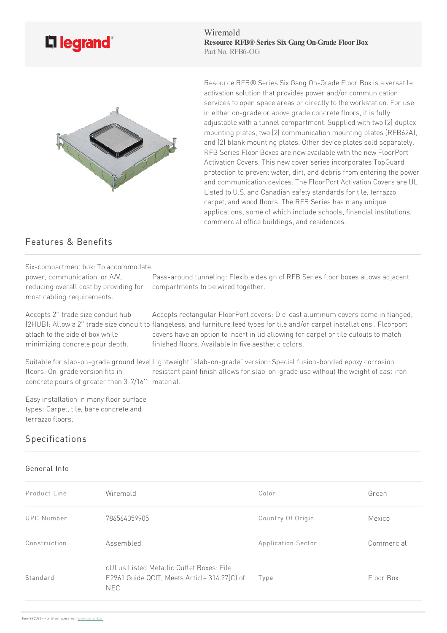

Wiremold **Resource RFB® Series Six Gang On-Grade FloorBox** Part No. RFB6-OG



Resource RFB® Series Six Gang On-Grade Floor Box is a versatile activation solution that provides power and/or communication services to open space areas or directly to the workstation. For use in either on-grade or above grade concrete floors, it is fully adjustable with a tunnel compartment. Supplied with two (2) duplex mounting plates, two(2) communication mounting plates (RFB62A), and (2) blank mounting plates. Other device plates sold separately. RFB Series Floor Boxes are now available with the new FloorPort Activation Covers. This new cover series incorporates TopGuard protection to prevent water, dirt, and debris from entering the power and communication devices. The FloorPort Activation Covers are UL Listed to U.S. and Canadian safety standards for tile, terrazzo, carpet, and wood floors. The RFB Series has many unique applications, some of which include schools, financial institutions, commercial office buildings, and residences.

## Features & Benefits

power, communication, or A/V,

most cabling requirements.

Six-compartment box: To accommodate

.<br>reducing overall cost by providing for compartments to be wired together. Pass-around tunneling: Flexible design of RFB Series floor boxes allows adjacent

Accepts 2" trade size conduit hub attach to the side of box while minimizing concrete pour depth.

(2HUB): Allow a 2" trade size conduit to flangeless, and furniture feed types for tile and/or carpet installations . Floorport Accepts rectangular FloorPort covers: Die-cast aluminum covers come in flanged, covers have an option to insert in lid allowing for carpet or tile cutouts to match finished floors. Available in five aesthetic colors.

Suitable for slab-on-grade ground level Lightweight "slab-on-grade" version: Special fusion-bonded epoxy corrosion floors: On-grade version fits in concrete pours of greater than 3-7/16" material. resistant paint finish allows for slab-on-grade use without the weight of cast iron

Easy installation in many floor surface types: Carpet, tile, bare concrete and terrazzo floors

## Specifications

## General Info

| Product Line      | Wiremold                                                                                         | Color              | Green      |
|-------------------|--------------------------------------------------------------------------------------------------|--------------------|------------|
| <b>UPC</b> Number | 786564059905                                                                                     | Country Of Origin  | Mexico     |
| Construction      | Assembled                                                                                        | Application Sector | Commercial |
| Standard          | cULus Listed Metallic Outlet Boxes: File<br>E2961 Guide QCIT, Meets Article 314.27(C) of<br>NEC. | Type               | Floor Box  |